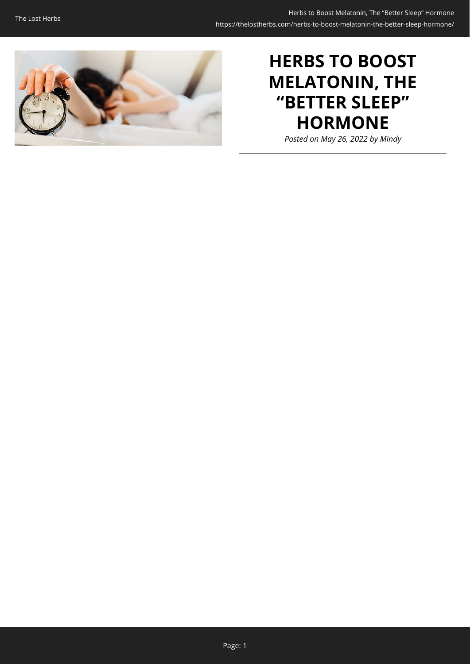

# **HERBS TO BOOST MELATONIN, THE "BETTER SLEEP" HORMONE**

*Posted on May 26, 2022 by Mindy*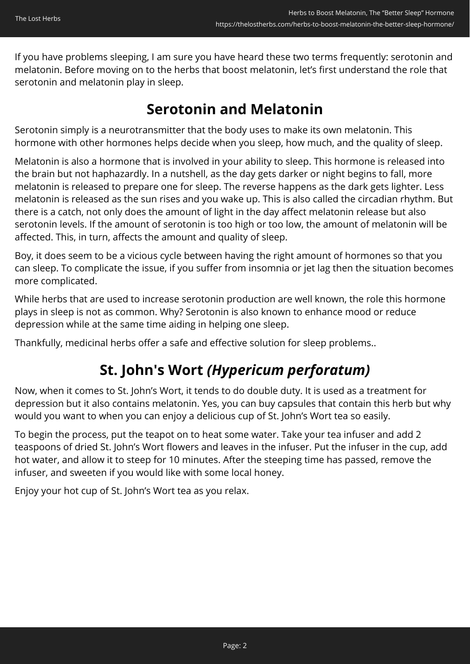If you have problems sleeping, I am sure you have heard these two terms frequently: serotonin and melatonin. Before moving on to the herbs that boost melatonin, let's first understand the role that serotonin and melatonin play in sleep.

#### **Serotonin and Melatonin**

Serotonin simply is a neurotransmitter that the body uses to make its own melatonin. This hormone with other hormones helps decide when you sleep, how much, and the quality of sleep.

Melatonin is also a hormone that is involved in your ability to sleep. This hormone is released into the brain but not haphazardly. In a nutshell, as the day gets darker or night begins to fall, more melatonin is released to prepare one for sleep. The reverse happens as the dark gets lighter. Less melatonin is released as the sun rises and you wake up. This is also called the circadian rhythm. But there is a catch, not only does the amount of light in the day affect melatonin release but also serotonin levels. If the amount of serotonin is too high or too low, the amount of melatonin will be affected. This, in turn, affects the amount and quality of sleep.

Boy, it does seem to be a vicious cycle between having the right amount of hormones so that you can sleep. To complicate the issue, if you suffer from insomnia or jet lag then the situation becomes more complicated.

While herbs that are used to increase serotonin production are well known, the role this hormone plays in sleep is not as common. Why? Serotonin is also known to enhance mood or reduce depression while at the same time aiding in helping one sleep.

Thankfully, medicinal herbs offer a safe and effective solution for sleep problems..

#### **St. John's Wort** *(Hypericum perforatum)*

Now, when it comes to St. John's Wort, it tends to do double duty. It is used as a treatment for depression but it also contains melatonin. Yes, you can buy capsules that contain this herb but why would you want to when you can enjoy a delicious cup of St. John's Wort tea so easily.

To begin the process, put the teapot on to heat some water. Take your tea infuser and add 2 teaspoons of dried St. John's Wort flowers and leaves in the infuser. Put the infuser in the cup, add hot water, and allow it to steep for 10 minutes. After the steeping time has passed, remove the infuser, and sweeten if you would like with some local honey.

Enjoy your hot cup of St. John's Wort tea as you relax.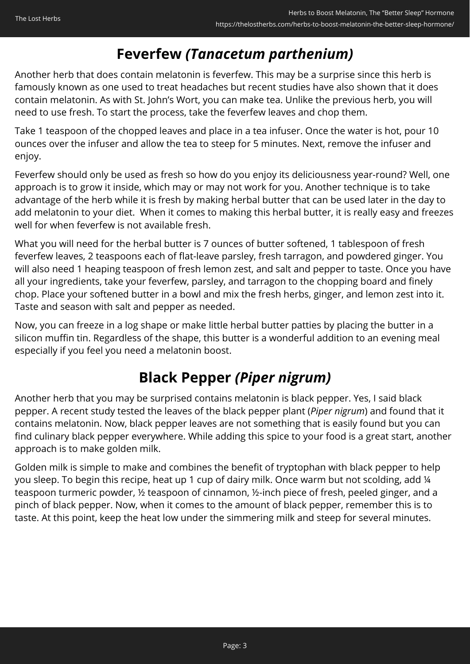#### **Feverfew** *(Tanacetum parthenium)*

Another herb that does contain melatonin is feverfew. This may be a surprise since this herb is famously known as one used to treat headaches but recent studies have also shown that it does contain melatonin. As with St. John's Wort, you can make tea. Unlike the previous herb, you will need to use fresh. To start the process, take the feverfew leaves and chop them.

Take 1 teaspoon of the chopped leaves and place in a tea infuser. Once the water is hot, pour 10 ounces over the infuser and allow the tea to steep for 5 minutes. Next, remove the infuser and enjoy.

Feverfew should only be used as fresh so how do you enjoy its deliciousness year-round? Well, one approach is to grow it inside, which may or may not work for you. Another technique is to take advantage of the herb while it is fresh by making herbal butter that can be used later in the day to add melatonin to your diet. When it comes to making this herbal butter, it is really easy and freezes well for when feverfew is not available fresh.

What you will need for the herbal butter is 7 ounces of butter softened, 1 tablespoon of fresh feverfew leaves, 2 teaspoons each of flat-leave parsley, fresh tarragon, and powdered ginger. You will also need 1 heaping teaspoon of fresh lemon zest, and salt and pepper to taste. Once you have all your ingredients, take your feverfew, parsley, and tarragon to the chopping board and finely chop. Place your softened butter in a bowl and mix the fresh herbs, ginger, and lemon zest into it. Taste and season with salt and pepper as needed.

Now, you can freeze in a log shape or make little herbal butter patties by placing the butter in a silicon muffin tin. Regardless of the shape, this butter is a wonderful addition to an evening meal especially if you feel you need a melatonin boost.

# **Black Pepper** *(Piper nigrum)*

Another herb that you may be surprised contains melatonin is black pepper. Yes, I said black pepper. A recent study tested the leaves of the black pepper plant (*Piper nigrum*) and found that it contains melatonin. Now, black pepper leaves are not something that is easily found but you can find culinary black pepper everywhere. While adding this spice to your food is a great start, another approach is to make golden milk.

Golden milk is simple to make and combines the benefit of tryptophan with black pepper to help you sleep. To begin this recipe, heat up 1 cup of dairy milk. Once warm but not scolding, add ¼ teaspoon turmeric powder, ½ teaspoon of cinnamon, ½-inch piece of fresh, peeled ginger, and a pinch of black pepper. Now, when it comes to the amount of black pepper, remember this is to taste. At this point, keep the heat low under the simmering milk and steep for several minutes.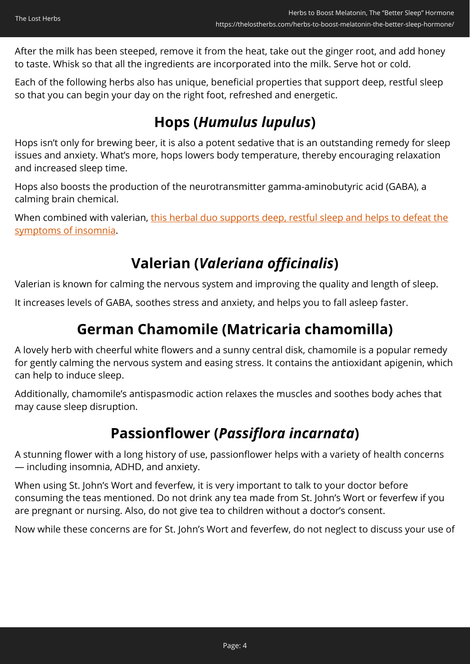After the milk has been steeped, remove it from the heat, take out the ginger root, and add honey to taste. Whisk so that all the ingredients are incorporated into the milk. Serve hot or cold.

Each of the following herbs also has unique, beneficial properties that support deep, restful sleep so that you can begin your day on the right foot, refreshed and energetic.

# **Hops (***Humulus lupulus***)**

Hops isn't only for brewing beer, it is also a potent sedative that is an outstanding remedy for sleep issues and anxiety. What's more, hops lowers body temperature, thereby encouraging relaxation and increased sleep time.

Hops also boosts the production of the neurotransmitter gamma-aminobutyric acid (GABA), a calming brain chemical.

When combined with valerian, [this herbal duo supports deep, restful sleep and helps to defeat the](https://pubmed.ncbi.nlm.nih.gov/16335333/) [symptoms of insomnia.](https://pubmed.ncbi.nlm.nih.gov/16335333/)

### **Valerian (***Valeriana officinalis***)**

Valerian is known for calming the nervous system and improving the quality and length of sleep.

It increases levels of GABA, soothes stress and anxiety, and helps you to fall asleep faster.

### **German Chamomile (Matricaria chamomilla)**

A lovely herb with cheerful white flowers and a sunny central disk, chamomile is a popular remedy for gently calming the nervous system and easing stress. It contains the antioxidant apigenin, which can help to induce sleep.

Additionally, chamomile's antispasmodic action relaxes the muscles and soothes body aches that may cause sleep disruption.

#### **Passionflower (***Passiflora incarnata***)**

A stunning flower with a long history of use, passionflower helps with a variety of health concerns — including insomnia, ADHD, and anxiety.

When using St. John's Wort and feverfew, it is very important to talk to your doctor before consuming the teas mentioned. Do not drink any tea made from St. John's Wort or feverfew if you are pregnant or nursing. Also, do not give tea to children without a doctor's consent.

Now while these concerns are for St. John's Wort and feverfew, do not neglect to discuss your use of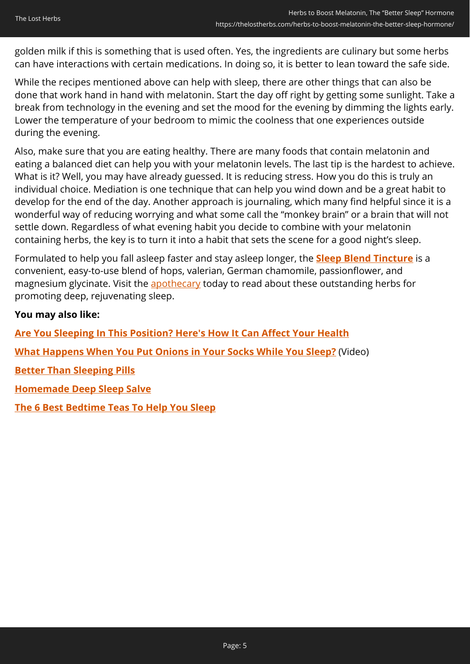golden milk if this is something that is used often. Yes, the ingredients are culinary but some herbs can have interactions with certain medications. In doing so, it is better to lean toward the safe side.

While the recipes mentioned above can help with sleep, there are other things that can also be done that work hand in hand with melatonin. Start the day off right by getting some sunlight. Take a break from technology in the evening and set the mood for the evening by dimming the lights early. Lower the temperature of your bedroom to mimic the coolness that one experiences outside during the evening.

Also, make sure that you are eating healthy. There are many foods that contain melatonin and eating a balanced diet can help you with your melatonin levels. The last tip is the hardest to achieve. What is it? Well, you may have already guessed. It is reducing stress. How you do this is truly an individual choice. Mediation is one technique that can help you wind down and be a great habit to develop for the end of the day. Another approach is journaling, which many find helpful since it is a wonderful way of reducing worrying and what some call the "monkey brain" or a brain that will not settle down. Regardless of what evening habit you decide to combine with your melatonin containing herbs, the key is to turn it into a habit that sets the scene for a good night's sleep.

Formulated to help you fall asleep faster and stay asleep longer, the **[Sleep Blend Tincture](https://nicolesapothecary.com/products/sleep-blend-support?rfsn=5642246.05c3d29&utm_source=refersion&utm_medium=affiliate&utm_campaign=5642246.05c3d29&subid=C02MelatoninSS)** is a convenient, easy-to-use blend of hops, valerian, German chamomile, passionflower, and magnesium glycinate. Visit the [apothecary](https://nicolesapothecary.com/products/sleep-blend-support?rfsn=5642246.05c3d29&utm_source=refersion&utm_medium=affiliate&utm_campaign=5642246.05c3d29&subid=C02MelatoninSS) today to read about these outstanding herbs for promoting deep, rejuvenating sleep.

#### **You may also like:**

**[Are You Sleeping In This Position? Here's How It Can Affect Your Health](https://thelostherbs.com/are-you-sleeping-in-this-position-heres-how-it-can-affect-your-health/) [What Happens When You Put Onions in Your Socks While You Sleep?](https://hop.clickbank.net/?affiliate=easycellar&vendor=homedoc&tid=C02MelatoninHerbsHMD)** (Video) **[Better Than Sleeping Pills](https://thelostherbs.com/better-than-sleeping-pills/) [Homemade Deep Sleep Salve](https://thelostherbs.com/homemade-deep-sleep-salve/) [The 6 Best Bedtime Teas To Help You Sleep](https://thelostherbs.com/the-6-best-bedtime-teas-to-help-you-sleep/)**